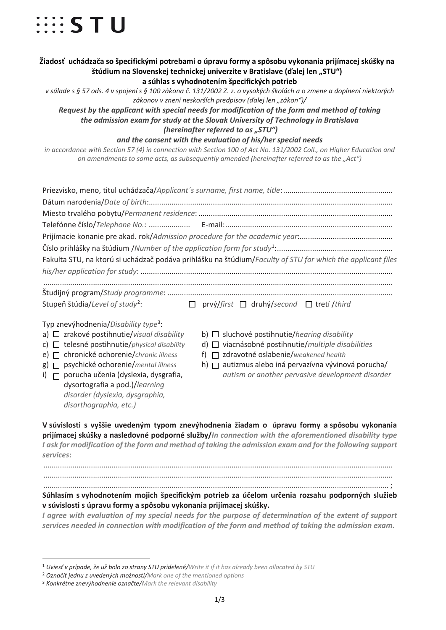

## **Žiadosť uchádzača so špecifickými potrebami o úpravu formy a spôsobu vykonania prijímacej skúšky na štúdium na Slovenskej technickej univerzite v Bratislave (ďalej len "STU") a súhlas s vyhodnotením špecifických potrieb**

*v súlade s § 57 ods. 4 v spojení s § 100 zákona č. 131/2002 Z. z. o vysokých školách a o zmene a doplnení niektorých zákonov v znení neskorších predpisov (ďalej len "zákon")/*

*Request by the applicant with special needs for modification of the form and method of taking the admission exam for study at the Slovak University of Technology in Bratislava (hereinafter referred to as "STU")* 

*and the consent with the evaluation of his/her special needs*

*in accordance with Section 57 (4) in connection with Section 100 of Act No. 131/2002 Coll., on Higher Education and on amendments to some acts, as subsequently amended (hereinafter referred to as the "Act")*

|                                                           | Fakulta STU, na ktorú si uchádzač podáva prihlášku na štúdium/Faculty of STU for which the applicant files |
|-----------------------------------------------------------|------------------------------------------------------------------------------------------------------------|
|                                                           |                                                                                                            |
|                                                           |                                                                                                            |
| Stupeň štúdia/Level of study <sup>2</sup> :               | $\Box$ prvý/first $\Box$ druhý/second $\Box$ tretí/third                                                   |
| Typ znevýhodnenia/Disability type <sup>3</sup> :          |                                                                                                            |
| a) $\Box$ zrakové postihnutie/visual disability           | b) $\Box$ sluchové postihnutie/hearing disability                                                          |
| c) $\Box$ telesné postihnutie/ <i>physical disability</i> | d) $\Box$ viacnásobné postihnutie/multiple disabilities                                                    |
| chronické ochorenie/chronic illness<br>e) $\Box$          | $\Box$ zdravotné oslabenie/weakened health<br>f)                                                           |
| psychické ochorenie/mental illness<br>$g \mid \Box$       | h) $\Box$ autizmus alebo iná pervazívna vývinová porucha/                                                  |
| porucha učenia (dyslexia, dysgrafia,<br>i) $\Box$         | autism or another pervasive development disorder                                                           |
| dysortografia a pod.)/learning                            |                                                                                                            |
| disorder (dyslexia, dysgraphia,                           |                                                                                                            |
| disorthographia, etc.)                                    |                                                                                                            |

**V súvislosti s vyššie uvedeným typom znevýhodnenia žiadam o úpravu formy a spôsobu vykonania prijímacej skúšky a nasledovné podporné služby/***In connection with the aforementioned disability type I ask for modification of the form and method of taking the admission exam and for the following support services***:**  .........................................................................................................................................................................

.........................................................................................................................................................................

....................................................................................................................................................................... ; **Súhlasím s vyhodnotením mojich špecifickým potrieb za účelom určenia rozsahu podporných služieb v súvislosti s úpravu formy a spôsobu vykonania prijímacej skúšky.**

*I agree with evaluation of my special needs for the purpose of determination of the extent of support services needed in connection with modification of the form and method of taking the admission exam***.** 

<u>.</u>

<sup>1</sup> *Uviesť v prípade, že už bolo zo strany STU pridelené/Write it if it has already been allocated by STU*

<span id="page-0-2"></span><span id="page-0-1"></span><span id="page-0-0"></span><sup>2</sup> *Označiť jednu z uvedených možností/Mark one of the mentioned options*

<sup>3</sup> *Konkrétne znevýhodnenie označte/Mark the relevant disability*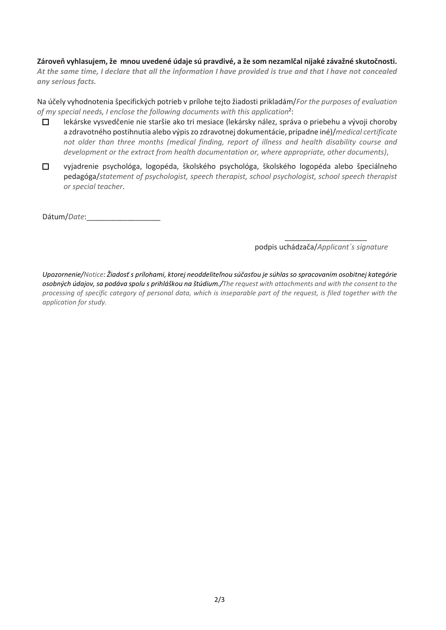## **Zároveň vyhlasujem, že mnou uvedené údaje sú pravdivé, a že som nezamlčal nijaké závažné skutočnosti.**

*At the same time, I declare that all the information I have provided is true and that I have not concealed any serious facts.*

Na účely vyhodnotenia špecifických potrieb v prílohe tejto žiadosti prikladám/*For the purposes of evaluation of my special needs, I enclose the following documents with this application*<sup>2</sup> :

- $\Box$ lekárske vysvedčenie nie staršie ako tri mesiace (lekársky nález, správa o priebehu a vývoji choroby a zdravotného postihnutia alebo výpiszo zdravotnej dokumentácie, prípadne iné)/*medical certificate not older than three months (medical finding, report of illness and health disability course and development or the extract from health documentation or, where appropriate, other documents)*,
- $\Box$ vyjadrenie psychológa, logopéda, školského psychológa, školského logopéda alebo špeciálneho pedagóga/*statement of psychologist, speech therapist, school psychologist, school speech therapist or special teacher*.

Dátum/*Date*:\_\_\_\_\_\_\_\_\_\_\_\_\_\_\_\_\_\_

 $\_$ podpis uchádzača/*Applicant´s signature*

*Upozornenie/Notice: Žiadosť s prílohami, ktorej neoddeliteľnou súčasťou je súhlas so spracovaním osobitnej kategórie osobných údajov, sa podáva spolu s prihláškou na štúdium./The request with attachments and with the consent to the processing of specific category of personal data, which is inseparable part of the request, is filed together with the application for study.*